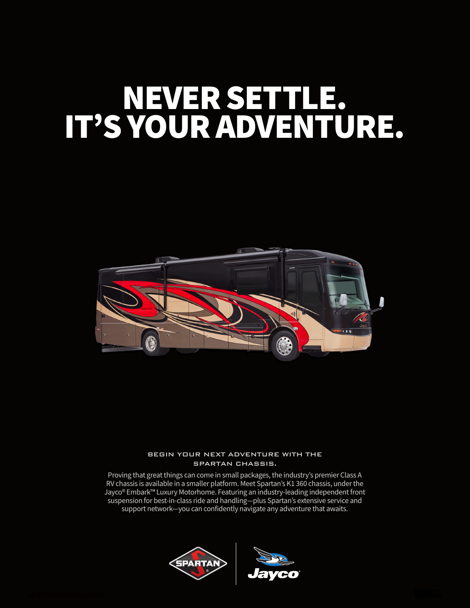# NEVER SETTLE. IT'S YOUR ADVENTURE.



### BEGIN YOUR NEXT ADVENTURE WITH THE SPARTAN CHASSIS.

Proving that great things can come in small packages, the industry's premier Class A RV chassis is available in a smaller platform. Meet Spartan's K1 360 chassis, under the Jayco® Embark™ Luxury Motorhome. Featuring an industry-leading independent front suspension for best-in-class ride and handling—plus Spartan's extensive service and support network—you can confidently navigate any adventure that awaits.